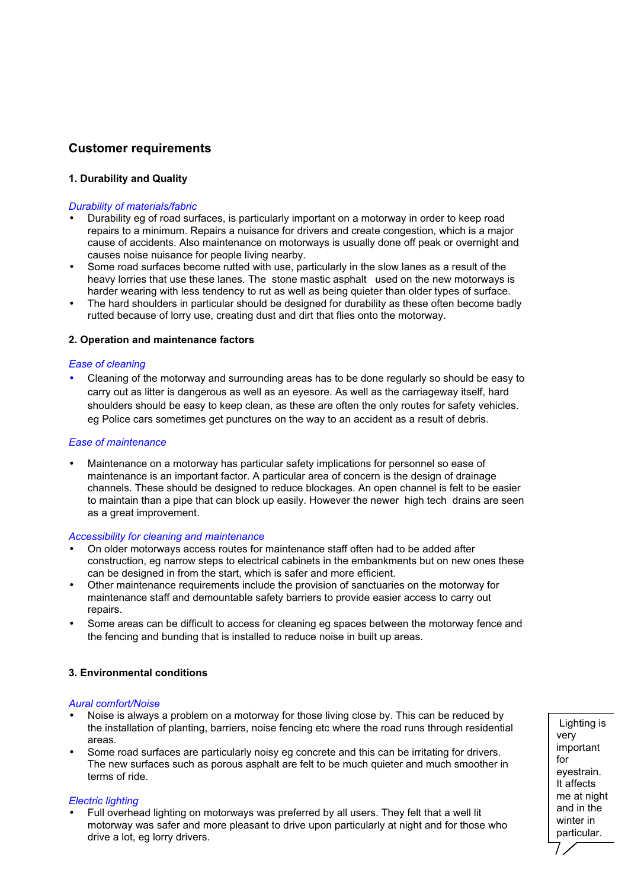# **Customer requirements**

# **1. Durability and Quality**

## *Durability of materials/fabric*

- Durability eg of road surfaces, is particularly important on a motorway in order to keep road repairs to a minimum. Repairs a nuisance for drivers and create congestion, which is a major cause of accidents. Also maintenance on motorways is usually done off peak or overnight and causes noise nuisance for people living nearby.
- Some road surfaces become rutted with use, particularly in the slow lanes as a result of the heavy lorries that use these lanes*.* The stone mastic asphalt used on the new motorways is harder wearing with less tendency to rut as well as being quieter than older types of surface.
- The hard shoulders in particular should be designed for durability as these often become badly rutted because of lorry use, creating dust and dirt that flies onto the motorway.

## **2. Operation and maintenance factors**

## *Ease of cleaning*

• Cleaning of the motorway and surrounding areas has to be done regularly so should be easy to carry out as litter is dangerous as well as an eyesore. As well as the carriageway itself, hard shoulders should be easy to keep clean, as these are often the only routes for safety vehicles. eg Police cars sometimes get punctures on the way to an accident as a result of debris.

## *Ease of maintenance*

• Maintenance on a motorway has particular safety implications for personnel so ease of maintenance is an important factor. A particular area of concern is the design of drainage channels. These should be designed to reduce blockages. An open channel is felt to be easier to maintain than a pipe that can block up easily. However the newer high tech drains are seen as a great improvement.

## *Accessibility for cleaning and maintenance*

- On older motorways access routes for maintenance staff often had to be added after construction, eg narrow steps to electrical cabinets in the embankments but on new ones these can be designed in from the start, which is safer and more efficient.
- Other maintenance requirements include the provision of sanctuaries on the motorway for maintenance staff and demountable safety barriers to provide easier access to carry out repairs.
- Some areas can be difficult to access for cleaning eg spaces between the motorway fence and the fencing and bunding that is installed to reduce noise in built up areas.

# **3. Environmental conditions**

### *Aural comfort/Noise*

- Noise is always a problem on a motorway for those living close by. This can be reduced by the installation of planting, barriers, noise fencing etc where the road runs through residential areas.
- Some road surfaces are particularly noisy eg concrete and this can be irritating for drivers. The new surfaces such as porous asphalt are felt to be much quieter and much smoother in terms of ride.

## *Electric lighting*

• Full overhead lighting on motorways was preferred by all users. They felt that a well lit motorway was safer and more pleasant to drive upon particularly at night and for those who drive a lot, eg lorry drivers.

Lighting is very important for eyestrain. It affects me at night and in the winter in particular.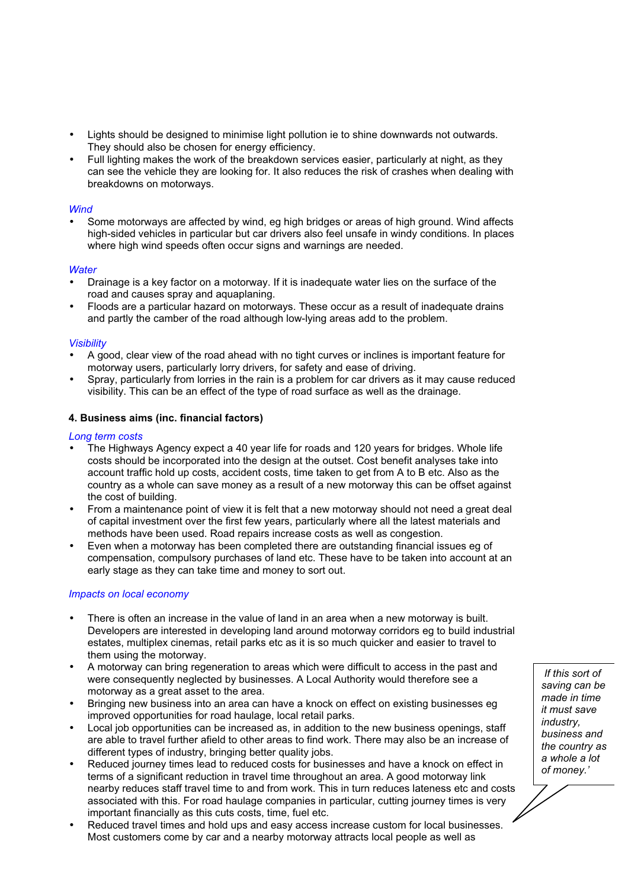- Lights should be designed to minimise light pollution ie to shine downwards not outwards. They should also be chosen for energy efficiency.
- Full lighting makes the work of the breakdown services easier, particularly at night, as they can see the vehicle they are looking for. It also reduces the risk of crashes when dealing with breakdowns on motorways.

# *Wind*

• Some motorways are affected by wind, eg high bridges or areas of high ground. Wind affects high-sided vehicles in particular but car drivers also feel unsafe in windy conditions. In places where high wind speeds often occur signs and warnings are needed.

# *Water*

- Drainage is a key factor on a motorway. If it is inadequate water lies on the surface of the road and causes spray and aquaplaning.
- Floods are a particular hazard on motorways. These occur as a result of inadequate drains and partly the camber of the road although low-lying areas add to the problem.

# *Visibility*

- A good, clear view of the road ahead with no tight curves or inclines is important feature for motorway users, particularly lorry drivers, for safety and ease of driving.
- Spray, particularly from lorries in the rain is a problem for car drivers as it may cause reduced visibility. This can be an effect of the type of road surface as well as the drainage.

# **4. Business aims (inc. financial factors)**

## *Long term costs*

- The Highways Agency expect a 40 year life for roads and 120 years for bridges. Whole life costs should be incorporated into the design at the outset. Cost benefit analyses take into account traffic hold up costs, accident costs, time taken to get from A to B etc. Also as the country as a whole can save money as a result of a new motorway this can be offset against the cost of building.
- From a maintenance point of view it is felt that a new motorway should not need a great deal of capital investment over the first few years, particularly where all the latest materials and methods have been used. Road repairs increase costs as well as congestion.
- Even when a motorway has been completed there are outstanding financial issues eg of compensation, compulsory purchases of land etc. These have to be taken into account at an early stage as they can take time and money to sort out.

## *Impacts on local economy*

- There is often an increase in the value of land in an area when a new motorway is built. Developers are interested in developing land around motorway corridors eg to build industrial estates, multiplex cinemas, retail parks etc as it is so much quicker and easier to travel to them using the motorway.
- A motorway can bring regeneration to areas which were difficult to access in the past and were consequently neglected by businesses. A Local Authority would therefore see a motorway as a great asset to the area.
- Bringing new business into an area can have a knock on effect on existing businesses eg improved opportunities for road haulage, local retail parks.
- Local job opportunities can be increased as, in addition to the new business openings, staff are able to travel further afield to other areas to find work. There may also be an increase of different types of industry, bringing better quality jobs.
- Reduced journey times lead to reduced costs for businesses and have a knock on effect in terms of a significant reduction in travel time throughout an area. A good motorway link nearby reduces staff travel time to and from work. This in turn reduces lateness etc and costs associated with this. For road haulage companies in particular, cutting journey times is very important financially as this cuts costs, time, fuel etc.
- Reduced travel times and hold ups and easy access increase custom for local businesses. Most customers come by car and a nearby motorway attracts local people as well as

*If this sort of saving can be made in time it must save industry, business and the country as a whole a lot of money.'*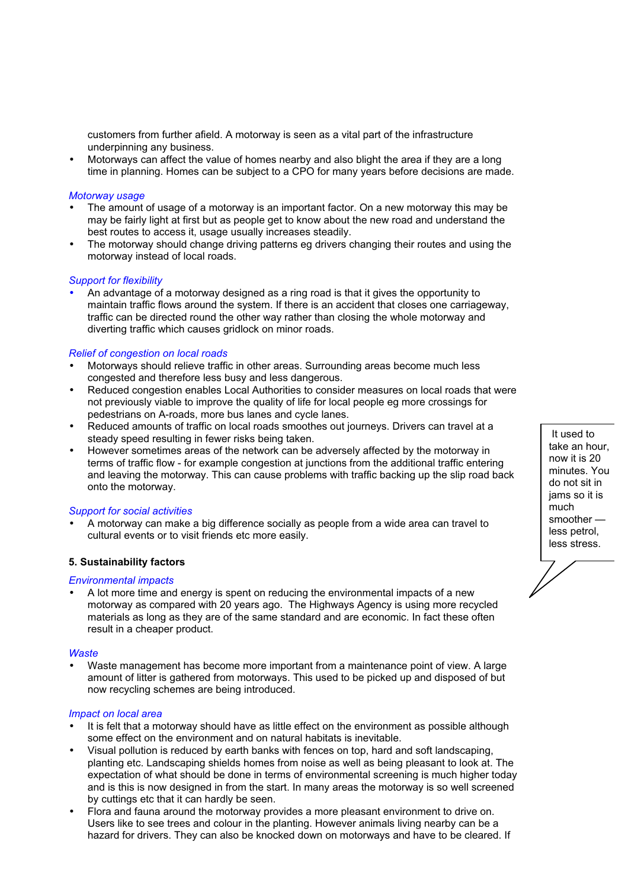customers from further afield. A motorway is seen as a vital part of the infrastructure underpinning any business.

• Motorways can affect the value of homes nearby and also blight the area if they are a long time in planning. Homes can be subject to a CPO for many years before decisions are made.

### *Motorway usage*

- The amount of usage of a motorway is an important factor. On a new motorway this may be may be fairly light at first but as people get to know about the new road and understand the best routes to access it, usage usually increases steadily.
- The motorway should change driving patterns eg drivers changing their routes and using the motorway instead of local roads.

### *Support for flexibility*

• An advantage of a motorway designed as a ring road is that it gives the opportunity to maintain traffic flows around the system. If there is an accident that closes one carriageway, traffic can be directed round the other way rather than closing the whole motorway and diverting traffic which causes gridlock on minor roads.

### *Relief of congestion on local roads*

- Motorways should relieve traffic in other areas. Surrounding areas become much less congested and therefore less busy and less dangerous.
- Reduced congestion enables Local Authorities to consider measures on local roads that were not previously viable to improve the quality of life for local people eg more crossings for pedestrians on A-roads, more bus lanes and cycle lanes.
- Reduced amounts of traffic on local roads smoothes out journeys. Drivers can travel at a steady speed resulting in fewer risks being taken.
- However sometimes areas of the network can be adversely affected by the motorway in terms of traffic flow - for example congestion at junctions from the additional traffic entering and leaving the motorway. This can cause problems with traffic backing up the slip road back onto the motorway.

### *Support for social activities*

• A motorway can make a big difference socially as people from a wide area can travel to cultural events or to visit friends etc more easily.

### **5. Sustainability factors**

### *Environmental impacts*

• A lot more time and energy is spent on reducing the environmental impacts of a new motorway as compared with 20 years ago. The Highways Agency is using more recycled materials as long as they are of the same standard and are economic. In fact these often result in a cheaper product.

### *Waste*

• Waste management has become more important from a maintenance point of view. A large amount of litter is gathered from motorways. This used to be picked up and disposed of but now recycling schemes are being introduced.

### *Impact on local area*

- It is felt that a motorway should have as little effect on the environment as possible although some effect on the environment and on natural habitats is inevitable.
- Visual pollution is reduced by earth banks with fences on top, hard and soft landscaping, planting etc. Landscaping shields homes from noise as well as being pleasant to look at. The expectation of what should be done in terms of environmental screening is much higher today and is this is now designed in from the start. In many areas the motorway is so well screened by cuttings etc that it can hardly be seen.
- Flora and fauna around the motorway provides a more pleasant environment to drive on. Users like to see trees and colour in the planting. However animals living nearby can be a hazard for drivers. They can also be knocked down on motorways and have to be cleared. If

It used to take an hour, now it is 20 minutes. You do not sit in jams so it is much smoother less petrol, less stress.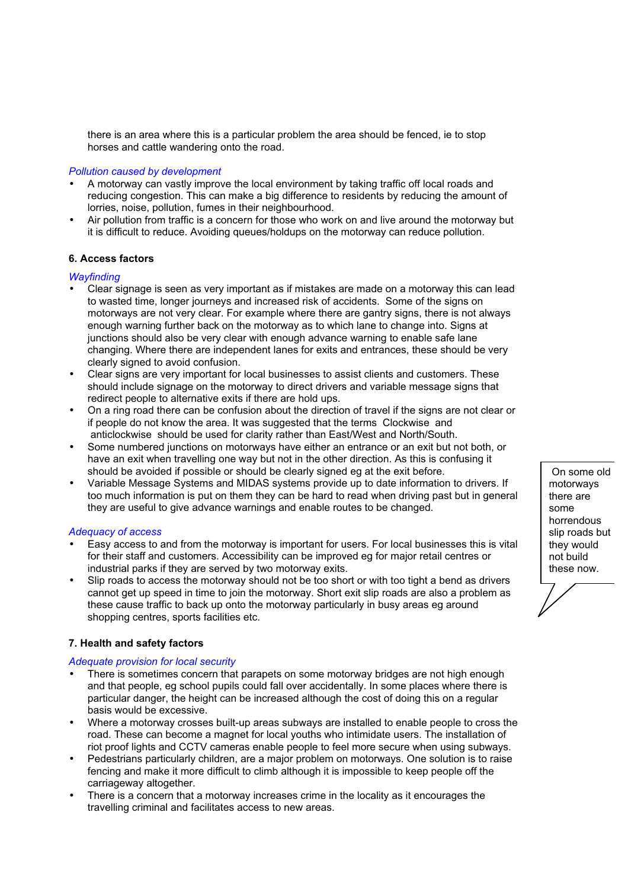there is an area where this is a particular problem the area should be fenced, ie to stop horses and cattle wandering onto the road.

### *Pollution caused by development*

- A motorway can vastly improve the local environment by taking traffic off local roads and reducing congestion. This can make a big difference to residents by reducing the amount of lorries, noise, pollution, fumes in their neighbourhood.
- Air pollution from traffic is a concern for those who work on and live around the motorway but it is difficult to reduce. Avoiding queues/holdups on the motorway can reduce pollution.

## **6. Access factors**

### *Wayfinding*

- Clear signage is seen as very important as if mistakes are made on a motorway this can lead to wasted time, longer journeys and increased risk of accidents. Some of the signs on motorways are not very clear. For example where there are gantry signs, there is not always enough warning further back on the motorway as to which lane to change into. Signs at junctions should also be very clear with enough advance warning to enable safe lane changing. Where there are independent lanes for exits and entrances, these should be very clearly signed to avoid confusion.
- Clear signs are very important for local businesses to assist clients and customers. These should include signage on the motorway to direct drivers and variable message signs that redirect people to alternative exits if there are hold ups.
- On a ring road there can be confusion about the direction of travel if the signs are not clear or if people do not know the area. It was suggested that the terms Clockwise and anticlockwise should be used for clarity rather than East/West and North/South.
- Some numbered junctions on motorways have either an entrance or an exit but not both, or have an exit when travelling one way but not in the other direction. As this is confusing it should be avoided if possible or should be clearly signed eg at the exit before.
- Variable Message Systems and MIDAS systems provide up to date information to drivers. If too much information is put on them they can be hard to read when driving past but in general they are useful to give advance warnings and enable routes to be changed.

## *Adequacy of access*

- Easy access to and from the motorway is important for users. For local businesses this is vital for their staff and customers. Accessibility can be improved eg for major retail centres or industrial parks if they are served by two motorway exits.
- Slip roads to access the motorway should not be too short or with too tight a bend as drivers cannot get up speed in time to join the motorway. Short exit slip roads are also a problem as these cause traffic to back up onto the motorway particularly in busy areas eg around shopping centres, sports facilities etc.

## **7. Health and safety factors**

## *Adequate provision for local security*

- There is sometimes concern that parapets on some motorway bridges are not high enough and that people, eg school pupils could fall over accidentally. In some places where there is particular danger, the height can be increased although the cost of doing this on a regular basis would be excessive.
- Where a motorway crosses built-up areas subways are installed to enable people to cross the road. These can become a magnet for local youths who intimidate users. The installation of riot proof lights and CCTV cameras enable people to feel more secure when using subways.
- Pedestrians particularly children, are a major problem on motorways. One solution is to raise fencing and make it more difficult to climb although it is impossible to keep people off the carriageway altogether.
- There is a concern that a motorway increases crime in the locality as it encourages the travelling criminal and facilitates access to new areas.

On some old motorways there are some horrendous slip roads but they would not build these now.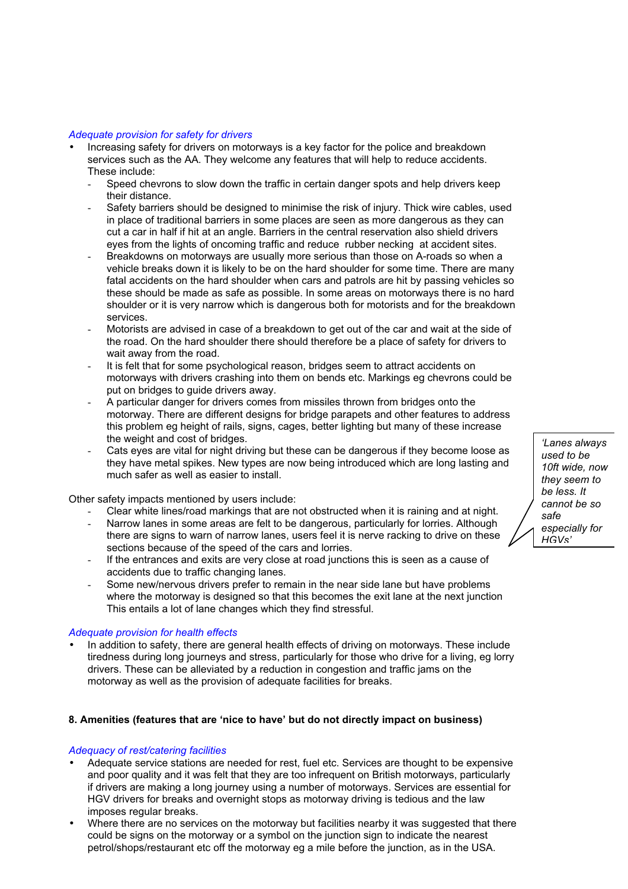## *Adequate provision for safety for drivers*

- Increasing safety for drivers on motorways is a key factor for the police and breakdown services such as the AA. They welcome any features that will help to reduce accidents. These include:
	- Speed chevrons to slow down the traffic in certain danger spots and help drivers keep their distance.
	- Safety barriers should be designed to minimise the risk of injury. Thick wire cables, used in place of traditional barriers in some places are seen as more dangerous as they can cut a car in half if hit at an angle. Barriers in the central reservation also shield drivers eyes from the lights of oncoming traffic and reduce rubber necking at accident sites.
	- Breakdowns on motorways are usually more serious than those on A-roads so when a vehicle breaks down it is likely to be on the hard shoulder for some time. There are many fatal accidents on the hard shoulder when cars and patrols are hit by passing vehicles so these should be made as safe as possible. In some areas on motorways there is no hard shoulder or it is very narrow which is dangerous both for motorists and for the breakdown services.
	- Motorists are advised in case of a breakdown to get out of the car and wait at the side of the road. On the hard shoulder there should therefore be a place of safety for drivers to wait away from the road.
	- It is felt that for some psychological reason, bridges seem to attract accidents on motorways with drivers crashing into them on bends etc. Markings eg chevrons could be put on bridges to guide drivers away.
	- A particular danger for drivers comes from missiles thrown from bridges onto the motorway. There are different designs for bridge parapets and other features to address this problem eg height of rails, signs, cages, better lighting but many of these increase the weight and cost of bridges.
	- Cats eyes are vital for night driving but these can be dangerous if they become loose as they have metal spikes. New types are now being introduced which are long lasting and much safer as well as easier to install.

Other safety impacts mentioned by users include:

- Clear white lines/road markings that are not obstructed when it is raining and at night.
- Narrow lanes in some areas are felt to be dangerous, particularly for lorries. Although there are signs to warn of narrow lanes, users feel it is nerve racking to drive on these sections because of the speed of the cars and lorries.
- If the entrances and exits are very close at road junctions this is seen as a cause of accidents due to traffic changing lanes.
- Some new/nervous drivers prefer to remain in the near side lane but have problems where the motorway is designed so that this becomes the exit lane at the next junction This entails a lot of lane changes which they find stressful.

## *Adequate provision for health effects*

• In addition to safety, there are general health effects of driving on motorways. These include tiredness during long journeys and stress, particularly for those who drive for a living, eg lorry drivers. These can be alleviated by a reduction in congestion and traffic jams on the motorway as well as the provision of adequate facilities for breaks.

## **8. Amenities (features that are 'nice to have' but do not directly impact on business)**

### *Adequacy of rest/catering facilities*

- Adequate service stations are needed for rest, fuel etc. Services are thought to be expensive and poor quality and it was felt that they are too infrequent on British motorways, particularly if drivers are making a long journey using a number of motorways. Services are essential for HGV drivers for breaks and overnight stops as motorway driving is tedious and the law imposes regular breaks.
- Where there are no services on the motorway but facilities nearby it was suggested that there could be signs on the motorway or a symbol on the junction sign to indicate the nearest petrol/shops/restaurant etc off the motorway eg a mile before the junction, as in the USA.

*'Lanes always used to be 10ft wide, now they seem to be less. It cannot be so safe especially for HGVs'*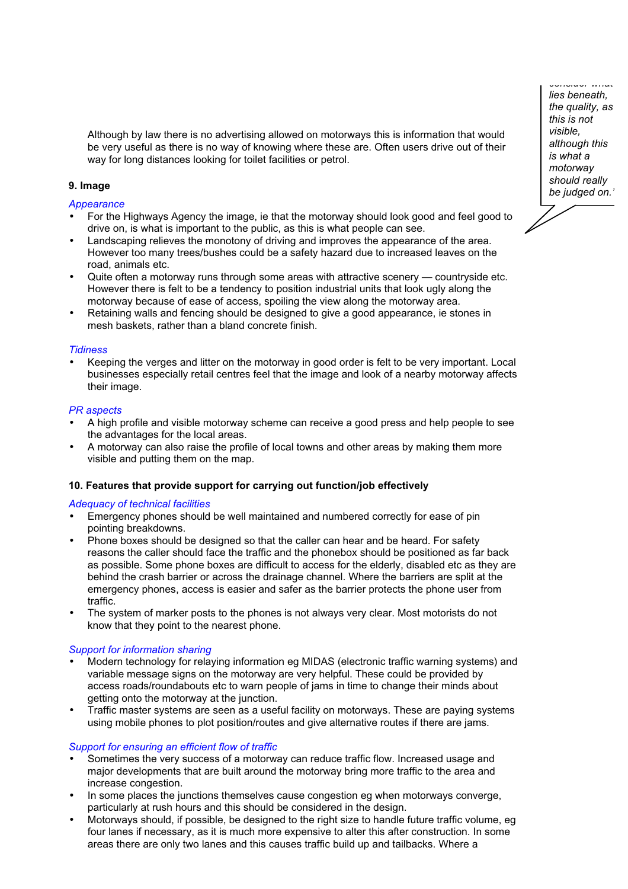Although by law there is no advertising allowed on motorways this is information that would be very useful as there is no way of knowing where these are. Often users drive out of their way for long distances looking for toilet facilities or petrol.

# **9. Image**

*Appearance*

- For the Highways Agency the image, ie that the motorway should look good and feel good to drive on, is what is important to the public, as this is what people can see.
- Landscaping relieves the monotony of driving and improves the appearance of the area. However too many trees/bushes could be a safety hazard due to increased leaves on the road, animals etc.
- Quite often a motorway runs through some areas with attractive scenery countryside etc. However there is felt to be a tendency to position industrial units that look ugly along the motorway because of ease of access, spoiling the view along the motorway area.
- Retaining walls and fencing should be designed to give a good appearance, ie stones in mesh baskets, rather than a bland concrete finish.

## *Tidiness*

• Keeping the verges and litter on the motorway in good order is felt to be very important. Local businesses especially retail centres feel that the image and look of a nearby motorway affects their image.

### *PR aspects*

- A high profile and visible motorway scheme can receive a good press and help people to see the advantages for the local areas.
- A motorway can also raise the profile of local towns and other areas by making them more visible and putting them on the map.

## **10. Features that provide support for carrying out function/job effectively**

### *Adequacy of technical facilities*

- Emergency phones should be well maintained and numbered correctly for ease of pin pointing breakdowns.
- Phone boxes should be designed so that the caller can hear and be heard. For safety reasons the caller should face the traffic and the phonebox should be positioned as far back as possible. Some phone boxes are difficult to access for the elderly, disabled etc as they are behind the crash barrier or across the drainage channel. Where the barriers are split at the emergency phones, access is easier and safer as the barrier protects the phone user from traffic.
- The system of marker posts to the phones is not always very clear. Most motorists do not know that they point to the nearest phone.

### *Support for information sharing*

- Modern technology for relaying information eg MIDAS (electronic traffic warning systems) and variable message signs on the motorway are very helpful. These could be provided by access roads/roundabouts etc to warn people of jams in time to change their minds about getting onto the motorway at the junction.
- Traffic master systems are seen as a useful facility on motorways. These are paying systems using mobile phones to plot position/routes and give alternative routes if there are jams.

### *Support for ensuring an efficient flow of traffic*

- Sometimes the very success of a motorway can reduce traffic flow. Increased usage and major developments that are built around the motorway bring more traffic to the area and increase congestion.
- In some places the junctions themselves cause congestion eg when motorways converge, particularly at rush hours and this should be considered in the design.
- Motorways should, if possible, be designed to the right size to handle future traffic volume, eg four lanes if necessary, as it is much more expensive to alter this after construction. In some areas there are only two lanes and this causes traffic build up and tailbacks. Where a

*lies beneath, the quality, as this is not visible, although this is what a motorway should really be judged on.'*

*consider what*